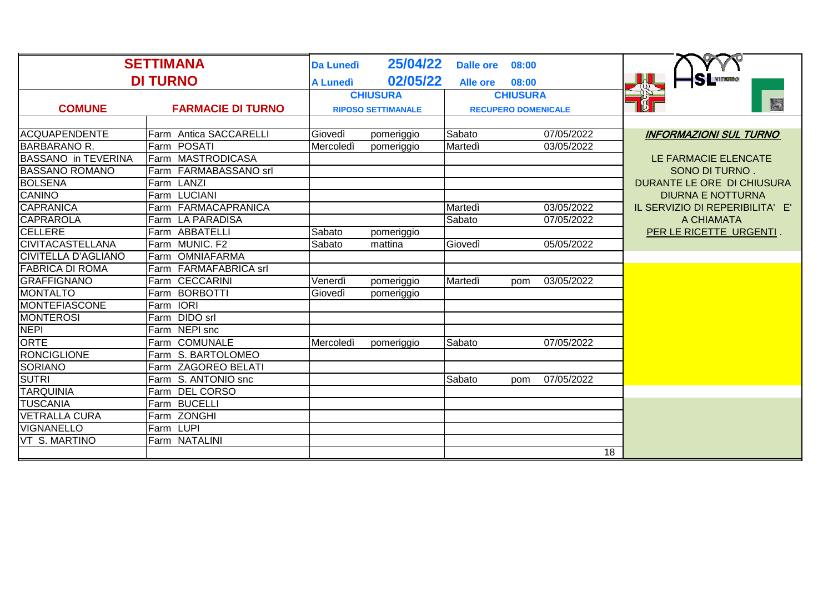| <b>SETTIMANA</b>           |                          | 25/04/22<br><b>Da Lunedì</b><br><b>Dalle ore</b><br>08:00 |                                                         |                 |       |            |                                 |
|----------------------------|--------------------------|-----------------------------------------------------------|---------------------------------------------------------|-----------------|-------|------------|---------------------------------|
| <b>DI TURNO</b>            |                          | <b>A Lunedì</b>                                           | 02/05/22                                                | <b>Alle ore</b> | 08:00 |            | <b>SLYTERRO</b>                 |
|                            |                          | <b>CHIUSURA</b>                                           |                                                         | <b>CHIUSURA</b> |       |            |                                 |
| <b>COMUNE</b>              | <b>FARMACIE DI TURNO</b> |                                                           | <b>RIPOSO SETTIMANALE</b><br><b>RECUPERO DOMENICALE</b> |                 | E     |            |                                 |
|                            |                          |                                                           |                                                         |                 |       |            |                                 |
| <b>ACQUAPENDENTE</b>       | Farm Antica SACCARELLI   | Giovedì                                                   | pomeriggio                                              | Sabato          |       | 07/05/2022 | <b>INFORMAZIONI SUL TURNO</b>   |
| <b>BARBARANO R.</b>        | Farm POSATI              | Mercoledì                                                 | pomeriggio                                              | Martedì         |       | 03/05/2022 |                                 |
| <b>BASSANO in TEVERINA</b> | Farm MASTRODICASA        |                                                           |                                                         |                 |       |            | LE FARMACIE ELENCATE            |
| <b>BASSANO ROMANO</b>      | Farm FARMABASSANO srl    |                                                           |                                                         |                 |       |            | SONO DI TURNO.                  |
| <b>BOLSENA</b>             | Farm LANZI               |                                                           |                                                         |                 |       |            | DURANTE LE ORE DI CHIUSURA      |
| <b>CANINO</b>              | Farm LUCIANI             |                                                           |                                                         |                 |       |            | <b>DIURNA E NOTTURNA</b>        |
| <b>CAPRANICA</b>           | Farm FARMACAPRANICA      |                                                           |                                                         | Martedì         |       | 03/05/2022 | IL SERVIZIO DI REPERIBILITA' E' |
| <b>CAPRAROLA</b>           | Farm LA PARADISA         |                                                           |                                                         | Sabato          |       | 07/05/2022 | A CHIAMATA                      |
| <b>CELLERE</b>             | Farm ABBATELLI           | Sabato                                                    | pomeriggio                                              |                 |       |            | PER LE RICETTE URGENTI.         |
| <b>CIVITACASTELLANA</b>    | Farm MUNIC. F2           | Sabato                                                    | mattina                                                 | Giovedì         |       | 05/05/2022 |                                 |
| <b>CIVITELLA D'AGLIANO</b> | Farm OMNIAFARMA          |                                                           |                                                         |                 |       |            |                                 |
| <b>FABRICA DI ROMA</b>     | Farm FARMAFABRICA srl    |                                                           |                                                         |                 |       |            |                                 |
| <b>GRAFFIGNANO</b>         | Farm CECCARINI           | Venerdì                                                   | pomeriggio                                              | Martedì         | pom   | 03/05/2022 |                                 |
| <b>MONTALTO</b>            | Farm BORBOTTI            | Giovedì                                                   | pomeriggio                                              |                 |       |            |                                 |
| <b>MONTEFIASCONE</b>       | Farm IORI                |                                                           |                                                         |                 |       |            |                                 |
| <b>MONTEROSI</b>           | Farm DIDO srl            |                                                           |                                                         |                 |       |            |                                 |
| <b>NEPI</b>                | Farm NEPI snc            |                                                           |                                                         |                 |       |            |                                 |
| ORTE                       | Farm COMUNALE            | Mercoledì                                                 | pomeriggio                                              | Sabato          |       | 07/05/2022 |                                 |
| <b>RONCIGLIONE</b>         | Farm S. BARTOLOMEO       |                                                           |                                                         |                 |       |            |                                 |
| <b>SORIANO</b>             | Farm ZAGOREO BELATI      |                                                           |                                                         |                 |       |            |                                 |
| <b>SUTRI</b>               | Farm S. ANTONIO snc      |                                                           |                                                         | Sabato          | pom   | 07/05/2022 |                                 |
| <b>TARQUINIA</b>           | Farm DEL CORSO           |                                                           |                                                         |                 |       |            |                                 |
| <b>TUSCANIA</b>            | Farm BUCELLI             |                                                           |                                                         |                 |       |            |                                 |
| <b>VETRALLA CURA</b>       | Farm ZONGHI              |                                                           |                                                         |                 |       |            |                                 |
| <b>VIGNANELLO</b>          | Farm LUPI                |                                                           |                                                         |                 |       |            |                                 |
| <b>VT S. MARTINO</b>       | Farm NATALINI            |                                                           |                                                         |                 |       |            |                                 |
|                            |                          |                                                           |                                                         |                 |       | 18         |                                 |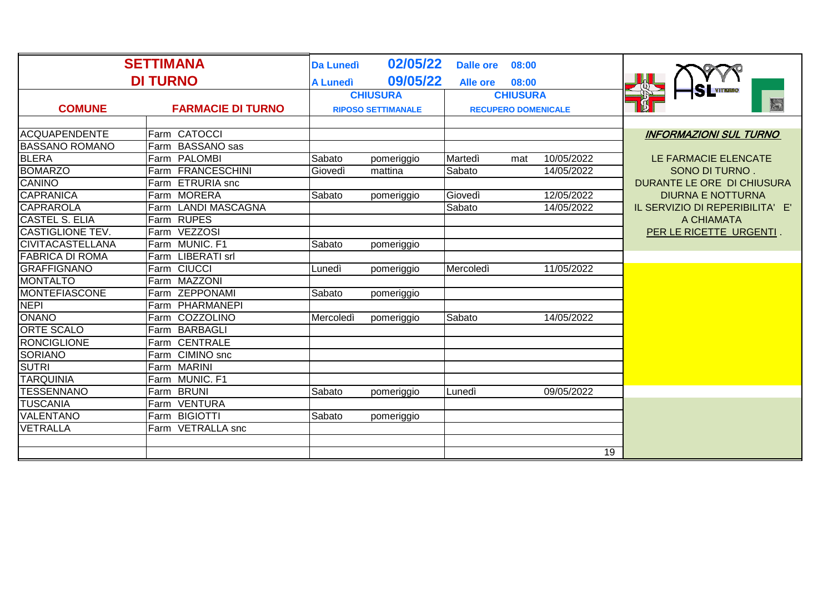| <b>SETTIMANA</b>        |                          | <b>Da Lunedì</b>          | 02/05/22   | <b>Dalle ore</b>           | 08:00 |                 |                                 |
|-------------------------|--------------------------|---------------------------|------------|----------------------------|-------|-----------------|---------------------------------|
| <b>DI TURNO</b>         |                          | <b>A Lunedi</b>           | 09/05/22   | <b>Alle ore</b>            | 08:00 |                 |                                 |
|                         |                          | <b>CHIUSURA</b>           |            | <b>CHIUSURA</b>            |       |                 | <b>S</b> VITERBO                |
| <b>COMUNE</b>           | <b>FARMACIE DI TURNO</b> | <b>RIPOSO SETTIMANALE</b> |            | <b>RECUPERO DOMENICALE</b> |       |                 | ES                              |
|                         |                          |                           |            |                            |       |                 |                                 |
| <b>ACQUAPENDENTE</b>    | Farm CATOCCI             |                           |            |                            |       |                 | <b>INFORMAZIONI SUL TURNO</b>   |
| <b>BASSANO ROMANO</b>   | Farm BASSANO sas         |                           |            |                            |       |                 |                                 |
| <b>BLERA</b>            | Farm PALOMBI             | Sabato                    | pomeriggio | Martedì                    | mat   | 10/05/2022      | LE FARMACIE ELENCATE            |
| <b>BOMARZO</b>          | Farm FRANCESCHINI        | Giovedì                   | mattina    | Sabato                     |       | 14/05/2022      | SONO DI TURNO.                  |
| <b>CANINO</b>           | Farm ETRURIA snc         |                           |            |                            |       |                 | DURANTE LE ORE DI CHIUSURA      |
| <b>CAPRANICA</b>        | Farm MORERA              | Sabato                    | pomeriggio | Giovedì                    |       | 12/05/2022      | <b>DIURNA E NOTTURNA</b>        |
| <b>CAPRAROLA</b>        | Farm LANDI MASCAGNA      |                           |            | Sabato                     |       | 14/05/2022      | IL SERVIZIO DI REPERIBILITA' E' |
| <b>CASTEL S. ELIA</b>   | Farm RUPES               |                           |            |                            |       |                 | A CHIAMATA                      |
| <b>CASTIGLIONE TEV.</b> | Farm VEZZOSI             |                           |            |                            |       |                 | PER LE RICETTE URGENTI.         |
| <b>CIVITACASTELLANA</b> | Farm MUNIC. F1           | Sabato                    | pomeriggio |                            |       |                 |                                 |
| <b>FABRICA DI ROMA</b>  | Farm LIBERATI srl        |                           |            |                            |       |                 |                                 |
| <b>GRAFFIGNANO</b>      | Farm CIUCCI              | Lunedì                    | pomeriggio | Mercoledì                  |       | 11/05/2022      |                                 |
| <b>MONTALTO</b>         | Farm MAZZONI             |                           |            |                            |       |                 |                                 |
| <b>MONTEFIASCONE</b>    | Farm ZEPPONAMI           | Sabato                    | pomeriggio |                            |       |                 |                                 |
| <b>NEPI</b>             | Farm PHARMANEPI          |                           |            |                            |       |                 |                                 |
| <b>ONANO</b>            | Farm COZZOLINO           | Mercoledì                 | pomeriggio | Sabato                     |       | 14/05/2022      |                                 |
| <b>ORTE SCALO</b>       | Farm BARBAGLI            |                           |            |                            |       |                 |                                 |
| <b>RONCIGLIONE</b>      | Farm CENTRALE            |                           |            |                            |       |                 |                                 |
| <b>SORIANO</b>          | Farm CIMINO snc          |                           |            |                            |       |                 |                                 |
| <b>SUTRI</b>            | Farm MARINI              |                           |            |                            |       |                 |                                 |
| <b>TARQUINIA</b>        | Farm MUNIC. F1           |                           |            |                            |       |                 |                                 |
| <b>TESSENNANO</b>       | Farm BRUNI               | Sabato                    | pomeriggio | Lunedì                     |       | 09/05/2022      |                                 |
| <b>TUSCANIA</b>         | Farm VENTURA             |                           |            |                            |       |                 |                                 |
| <b>VALENTANO</b>        | Farm BIGIOTTI            | Sabato                    | pomeriggio |                            |       |                 |                                 |
| VETRALLA                | Farm VETRALLA snc        |                           |            |                            |       |                 |                                 |
|                         |                          |                           |            |                            |       |                 |                                 |
|                         |                          |                           |            |                            |       | $\overline{19}$ |                                 |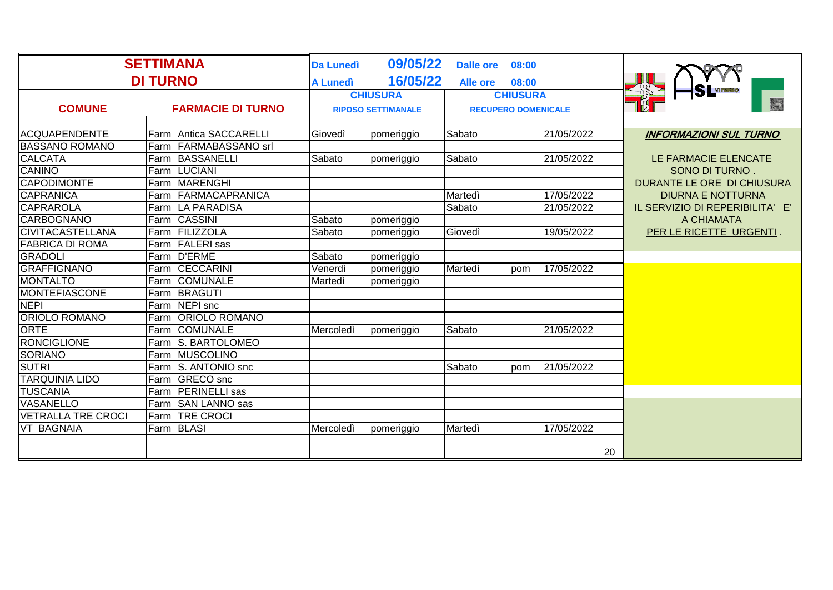| <b>SETTIMANA</b>          |                              | <b>Da Lunedì</b> | 09/05/22                  | <b>Dalle ore</b>           | 08:00             |                                 |
|---------------------------|------------------------------|------------------|---------------------------|----------------------------|-------------------|---------------------------------|
| <b>DI TURNO</b>           |                              | <b>A Lunedì</b>  | 16/05/22                  | <b>Alle ore</b>            | 08:00             |                                 |
|                           |                              | <b>CHIUSURA</b>  |                           |                            | <b>CHIUSURA</b>   |                                 |
| <b>COMUNE</b>             | <b>FARMACIE DI TURNO</b>     |                  | <b>RIPOSO SETTIMANALE</b> | <b>RECUPERO DOMENICALE</b> |                   | ES                              |
|                           |                              |                  |                           |                            |                   |                                 |
| <b>ACQUAPENDENTE</b>      | Farm Antica SACCARELLI       | Giovedì          | pomeriggio                | Sabato                     | 21/05/2022        | <b>INFORMAZIONI SUL TURNO</b>   |
| <b>BASSANO ROMANO</b>     | Farm FARMABASSANO srl        |                  |                           |                            |                   |                                 |
| <b>CALCATA</b>            | Farm BASSANELLI              | Sabato           | pomeriggio                | Sabato                     | 21/05/2022        | LE FARMACIE ELENCATE            |
| CANINO                    | Farm LUCIANI                 |                  |                           |                            |                   | SONO DI TURNO.                  |
| <b>CAPODIMONTE</b>        | Farm MARENGHI                |                  |                           |                            |                   | DURANTE LE ORE DI CHIUSURA      |
| <b>CAPRANICA</b>          | Farm FARMACAPRANICA          |                  |                           | Martedì                    | 17/05/2022        | <b>DIURNA E NOTTURNA</b>        |
| <b>CAPRAROLA</b>          | Farm LA PARADISA             |                  |                           | Sabato                     | 21/05/2022        | IL SERVIZIO DI REPERIBILITA' E' |
| <b>CARBOGNANO</b>         | Farm CASSINI                 | Sabato           | pomeriggio                |                            |                   | A CHIAMATA                      |
| <b>CIVITACASTELLANA</b>   | Farm FILIZZOLA               | Sabato           | pomeriggio                | Giovedì                    | 19/05/2022        | PER LE RICETTE URGENTI.         |
| <b>FABRICA DI ROMA</b>    | Farm FALERI sas              |                  |                           |                            |                   |                                 |
| <b>GRADOLI</b>            | Farm D'ERME                  | Sabato           | pomeriggio                |                            |                   |                                 |
| <b>GRAFFIGNANO</b>        | <b>CECCARINI</b><br>Farm     | Venerdì          | pomeriggio                | Martedì                    | 17/05/2022<br>pom |                                 |
| <b>MONTALTO</b>           | Farm COMUNALE                | Martedì          | pomeriggio                |                            |                   |                                 |
| <b>MONTEFIASCONE</b>      | Farm BRAGUTI                 |                  |                           |                            |                   |                                 |
| <b>NEPI</b>               | Farm NEPI snc                |                  |                           |                            |                   |                                 |
| <b>ORIOLO ROMANO</b>      | <b>ORIOLO ROMANO</b><br>Farm |                  |                           |                            |                   |                                 |
| <b>ORTE</b>               | Farm COMUNALE                | Mercoledì        | pomeriggio                | Sabato                     | 21/05/2022        |                                 |
| <b>RONCIGLIONE</b>        | Farm S. BARTOLOMEO           |                  |                           |                            |                   |                                 |
| <b>SORIANO</b>            | Farm MUSCOLINO               |                  |                           |                            |                   |                                 |
| <b>SUTRI</b>              | Farm S. ANTONIO snc          |                  |                           | Sabato                     | 21/05/2022<br>pom |                                 |
| <b>TARQUINIA LIDO</b>     | Farm GRECO snc               |                  |                           |                            |                   |                                 |
| <b>TUSCANIA</b>           | Farm PERINELLI sas           |                  |                           |                            |                   |                                 |
| <b>VASANELLO</b>          | Farm SAN LANNO sas           |                  |                           |                            |                   |                                 |
| <b>VETRALLA TRE CROCI</b> | <b>TRE CROCI</b><br>Farm     |                  |                           |                            |                   |                                 |
| VT BAGNAIA                | Farm BLASI                   | Mercoledì        | pomeriggio                | Martedì                    | 17/05/2022        |                                 |
|                           |                              |                  |                           |                            |                   |                                 |
|                           |                              |                  |                           |                            | 20                |                                 |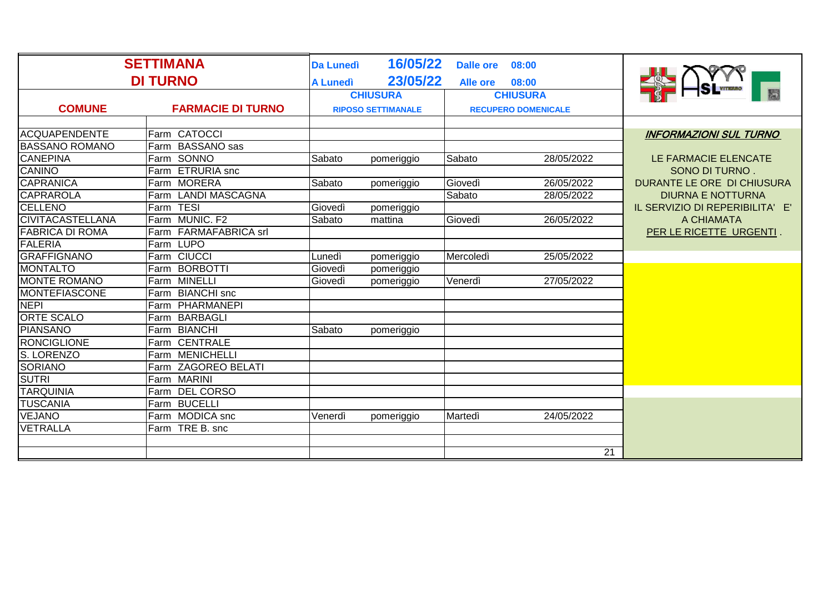| <b>SETTIMANA</b>        |                               | <b>Da Lunedì</b>                                        | 16/05/22   |                 |                 |                                 |
|-------------------------|-------------------------------|---------------------------------------------------------|------------|-----------------|-----------------|---------------------------------|
| <b>DI TURNO</b>         |                               | <b>A Lunedì</b>                                         | 23/05/22   | <b>Alle ore</b> | 08:00           |                                 |
|                         |                               | <b>CHIUSURA</b>                                         |            | <b>CHIUSURA</b> |                 |                                 |
| <b>COMUNE</b>           | <b>FARMACIE DI TURNO</b>      | <b>RIPOSO SETTIMANALE</b><br><b>RECUPERO DOMENICALE</b> |            |                 |                 |                                 |
|                         |                               |                                                         |            |                 |                 |                                 |
| <b>ACQUAPENDENTE</b>    | Farm CATOCCI                  |                                                         |            |                 |                 | <b>INFORMAZIONI SUL TURNO</b>   |
| <b>BASSANO ROMANO</b>   | Farm BASSANO sas              |                                                         |            |                 |                 |                                 |
| <b>CANEPINA</b>         | Farm SONNO                    | Sabato                                                  | pomeriggio | Sabato          | 28/05/2022      | LE FARMACIE ELENCATE            |
| <b>CANINO</b>           | Farm ETRURIA snc              |                                                         |            |                 |                 | SONO DI TURNO.                  |
| <b>CAPRANICA</b>        | Farm MORERA                   | Sabato                                                  | pomeriggio | Giovedì         | 26/05/2022      | DURANTE LE ORE DI CHIUSURA      |
| <b>CAPRAROLA</b>        | Farm LANDI MASCAGNA           |                                                         |            | Sabato          | 28/05/2022      | <b>DIURNA E NOTTURNA</b>        |
| <b>CELLENO</b>          | Farm TESI                     | Giovedì                                                 | pomeriggio |                 |                 | IL SERVIZIO DI REPERIBILITA' E' |
| <b>CIVITACASTELLANA</b> | MUNIC, F <sub>2</sub><br>Farm | Sabato                                                  | mattina    | Giovedì         | 26/05/2022      | A CHIAMATA                      |
| <b>FABRICA DI ROMA</b>  | Farm FARMAFABRICA srl         |                                                         |            |                 |                 | PER LE RICETTE URGENTI.         |
| <b>FALERIA</b>          | Farm LUPO                     |                                                         |            |                 |                 |                                 |
| <b>GRAFFIGNANO</b>      | Farm CIUCCI                   | Lunedì                                                  | pomeriggio | Mercoledì       | 25/05/2022      |                                 |
| <b>MONTALTO</b>         | <b>BORBOTTI</b><br>Farm       | Giovedì                                                 | pomeriggio |                 |                 |                                 |
| <b>MONTE ROMANO</b>     | Farm MINELLI                  | Giovedì                                                 | pomeriggio | Venerdì         | 27/05/2022      |                                 |
| <b>MONTEFIASCONE</b>    | Farm BIANCHI snc              |                                                         |            |                 |                 |                                 |
| <b>NEPI</b>             | PHARMANEPI<br>Farm            |                                                         |            |                 |                 |                                 |
| <b>ORTE SCALO</b>       | <b>BARBAGLI</b><br>Farm       |                                                         |            |                 |                 |                                 |
| <b>PIANSANO</b>         | Farm BIANCHI                  | Sabato                                                  | pomeriggio |                 |                 |                                 |
| <b>RONCIGLIONE</b>      | Farm CENTRALE                 |                                                         |            |                 |                 |                                 |
| S. LORENZO              | <b>MENICHELLI</b><br>Farm     |                                                         |            |                 |                 |                                 |
| <b>SORIANO</b>          | <b>ZAGOREO BELATI</b><br>Farm |                                                         |            |                 |                 |                                 |
| <b>SUTRI</b>            | Farm MARINI                   |                                                         |            |                 |                 |                                 |
| <b>TARQUINIA</b>        | Farm DEL CORSO                |                                                         |            |                 |                 |                                 |
| <b>TUSCANIA</b>         | Farm BUCELLI                  |                                                         |            |                 |                 |                                 |
| <b>VEJANO</b>           | Farm MODICA snc               | Venerdì                                                 | pomeriggio | Martedì         | 24/05/2022      |                                 |
| VETRALLA                | Farm TRE B. snc               |                                                         |            |                 |                 |                                 |
|                         |                               |                                                         |            |                 |                 |                                 |
|                         |                               |                                                         |            |                 | $\overline{21}$ |                                 |